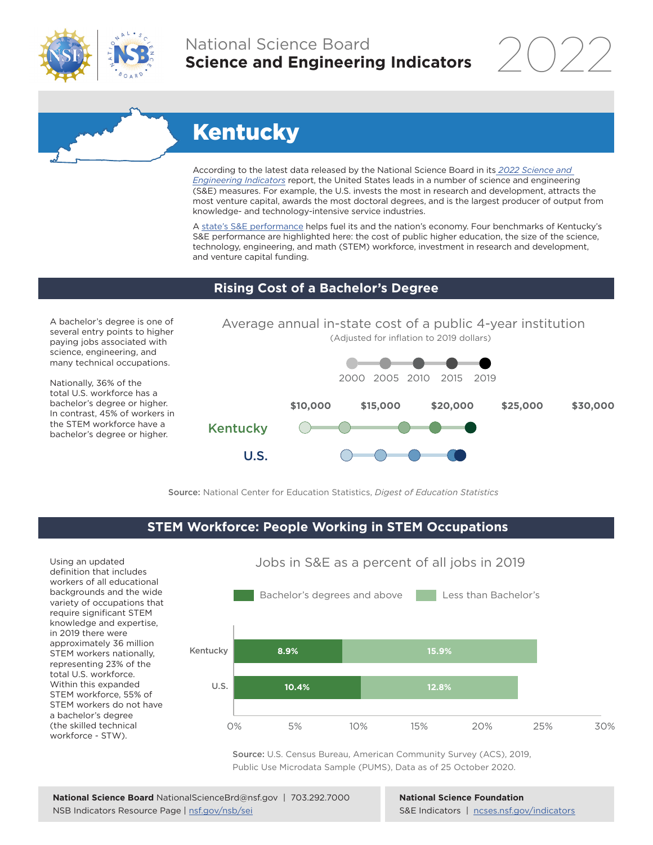

## National Science Board **Science and Engineering Indicators**

2022

# **Kentucky**

According to the latest data released by the National Science Board in its *2022 Science and Engineering Indicators* report, the United States leads in a number of science and engineering (S&E) measures. For example, the U.S. invests the most in research and development, attracts the most venture capital, awards the most doctoral degrees, and is the largest producer of output from knowledge- and technology-intensive service industries.

A state's S&E performance helps fuel its and the nation's economy. Four benchmarks of Kentucky's S&E performance are highlighted here: the cost of public higher education, the size of the science, technology, engineering, and math (STEM) workforce, investment in research and development, and venture capital funding.

#### **Rising Cost of a Bachelor's Degree**

A bachelor's degree is one of several entry points to higher paying jobs associated with science, engineering, and many technical occupations.

Nationally, 36% of the total U.S. workforce has a bachelor's degree or higher. In contrast, 45% of workers in the STEM workforce have a bachelor's degree or higher.



Source: National Center for Education Statistics, *Digest of Education Statistics*

### **STEM Workforce: People Working in STEM Occupations**

Using an updated definition that includes workers of all educational backgrounds and the wide variety of occupations that require significant STEM knowledge and expertise, in 2019 there were approximately 36 million STEM workers nationally, representing 23% of the total U.S. workforce. Within this expanded STEM workforce, 55% of STEM workers do not have a bachelor's degree (the skilled technical workforce - STW).



Jobs in S&E as a percent of all jobs in 2019

Source: U.S. Census Bureau, American Community Survey (ACS), 2019, Public Use Microdata Sample (PUMS), Data as of 25 October 2020.

**National Science Foundation** S&E Indicators | ncses.nsf.gov/indicators